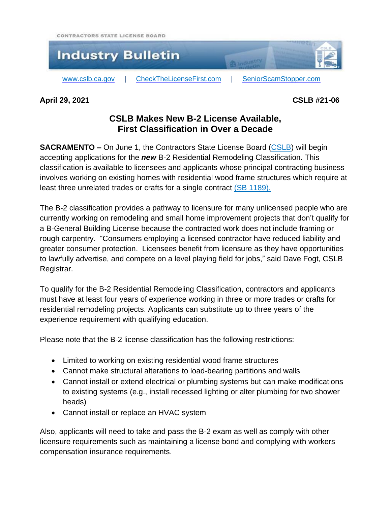CONTRACTORS STATE LICENSE BOARD



**April 29, 2021 CSLB #21-06**

## **CSLB Makes New B-2 License Available, First Classification in Over a Decade**

**SACRAMENTO** – On June 1, the Contractors State License Board [\(CSLB\)](https://cslb.ca.gov/) will begin accepting applications for the *new* B-2 Residential Remodeling Classification. This classification is available to licensees and applicants whose principal contracting business involves working on existing homes with residential wood frame structures which require at least three unrelated trades or crafts for a single contract (SB [1189\).](https://leginfo.legislature.ca.gov/faces/billNavClient.xhtml?bill_id=201920200SB1189)

The B-2 classification provides a pathway to licensure for many unlicensed people who are currently working on remodeling and small home improvement projects that don't qualify for a B-General Building License because the contracted work does not include framing or rough carpentry. "Consumers employing a licensed contractor have reduced liability and greater consumer protection. Licensees benefit from licensure as they have opportunities to lawfully advertise, and compete on a level playing field for jobs," said Dave Fogt, CSLB Registrar.

To qualify for the B-2 Residential Remodeling Classification, contractors and applicants must have at least four years of experience working in three or more trades or crafts for residential remodeling projects. Applicants can substitute up to three years of the experience requirement with qualifying education.

Please note that the B-2 license classification has the following restrictions:

- Limited to working on existing residential wood frame structures
- Cannot make structural alterations to load-bearing partitions and walls
- Cannot install or extend electrical or plumbing systems but can make modifications to existing systems (e.g., install recessed lighting or alter plumbing for two shower heads)
- Cannot install or replace an HVAC system

Also, applicants will need to take and pass the B-2 exam as well as comply with other licensure requirements such as maintaining a license bond and complying with workers compensation insurance requirements.